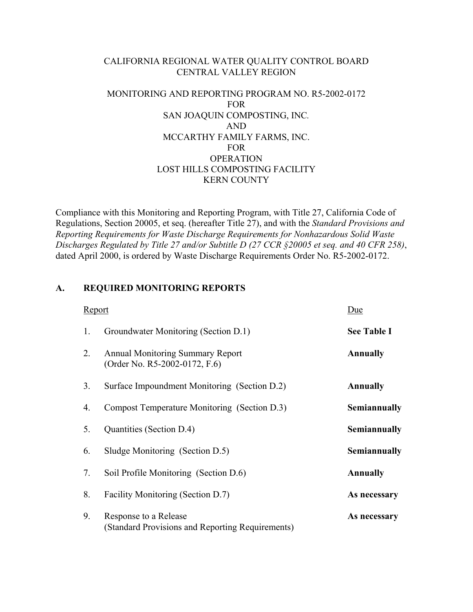### CALIFORNIA REGIONAL WATER QUALITY CONTROL BOARD CENTRAL VALLEY REGION

# MONITORING AND REPORTING PROGRAM NO. R5-2002-0172 FOR SAN JOAQUIN COMPOSTING, INC*.*  AND MCCARTHY FAMILY FARMS, INC. FOR **OPERATION** LOST HILLS COMPOSTING FACILITY KERN COUNTY

Compliance with this Monitoring and Reporting Program, with Title 27, California Code of Regulations, Section 20005, et seq. (hereafter Title 27), and with the *Standard Provisions and Reporting Requirements for Waste Discharge Requirements for Nonhazardous Solid Waste Discharges Regulated by Title 27 and/or Subtitle D (27 CCR §20005 et seq. and 40 CFR 258)*, dated April 2000, is ordered by Waste Discharge Requirements Order No. R5-2002-0172.

### **A. REQUIRED MONITORING REPORTS**

| <b>Report</b> |                                                                           | Due                |
|---------------|---------------------------------------------------------------------------|--------------------|
| 1.            | Groundwater Monitoring (Section D.1)                                      | <b>See Table I</b> |
| 2.            | <b>Annual Monitoring Summary Report</b><br>(Order No. R5-2002-0172, F.6)  | <b>Annually</b>    |
| 3.            | Surface Impoundment Monitoring (Section D.2)                              | <b>Annually</b>    |
| 4.            | Compost Temperature Monitoring (Section D.3)                              | Semiannually       |
| 5.            | Quantities (Section D.4)                                                  | Semiannually       |
| 6.            | Sludge Monitoring (Section D.5)                                           | Semiannually       |
| 7.            | Soil Profile Monitoring (Section D.6)                                     | <b>Annually</b>    |
| 8.            | Facility Monitoring (Section D.7)                                         | As necessary       |
| 9.            | Response to a Release<br>(Standard Provisions and Reporting Requirements) | As necessary       |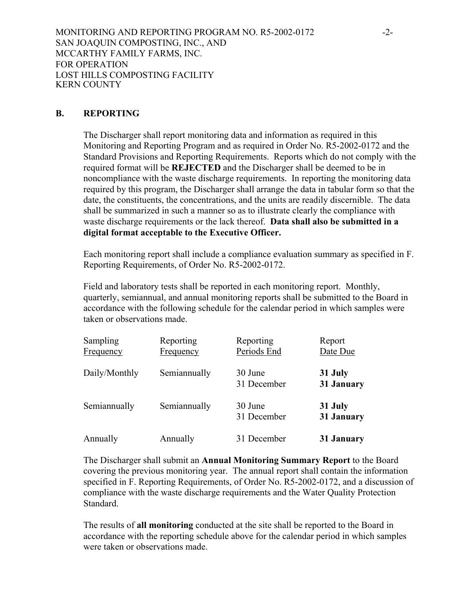### **B. REPORTING**

The Discharger shall report monitoring data and information as required in this Monitoring and Reporting Program and as required in Order No. R5-2002-0172 and the Standard Provisions and Reporting Requirements. Reports which do not comply with the required format will be **REJECTED** and the Discharger shall be deemed to be in noncompliance with the waste discharge requirements. In reporting the monitoring data required by this program, the Discharger shall arrange the data in tabular form so that the date, the constituents, the concentrations, and the units are readily discernible. The data shall be summarized in such a manner so as to illustrate clearly the compliance with waste discharge requirements or the lack thereof. **Data shall also be submitted in a digital format acceptable to the Executive Officer.** 

Each monitoring report shall include a compliance evaluation summary as specified in F. Reporting Requirements, of Order No. R5-2002-0172.

Field and laboratory tests shall be reported in each monitoring report. Monthly, quarterly, semiannual, and annual monitoring reports shall be submitted to the Board in accordance with the following schedule for the calendar period in which samples were taken or observations made.

| Sampling<br>Frequency | Reporting<br>Frequency | Reporting<br>Periods End | Report<br>Date Due    |
|-----------------------|------------------------|--------------------------|-----------------------|
| Daily/Monthly         | Semiannually           | 30 June<br>31 December   | 31 July<br>31 January |
| Semiannually          | Semiannually           | 30 June<br>31 December   | 31 July<br>31 January |
| Annually              | Annually               | 31 December              | 31 January            |

The Discharger shall submit an **Annual Monitoring Summary Report** to the Board covering the previous monitoring year. The annual report shall contain the information specified in F. Reporting Requirements, of Order No. R5-2002-0172, and a discussion of compliance with the waste discharge requirements and the Water Quality Protection Standard.

The results of **all monitoring** conducted at the site shall be reported to the Board in accordance with the reporting schedule above for the calendar period in which samples were taken or observations made.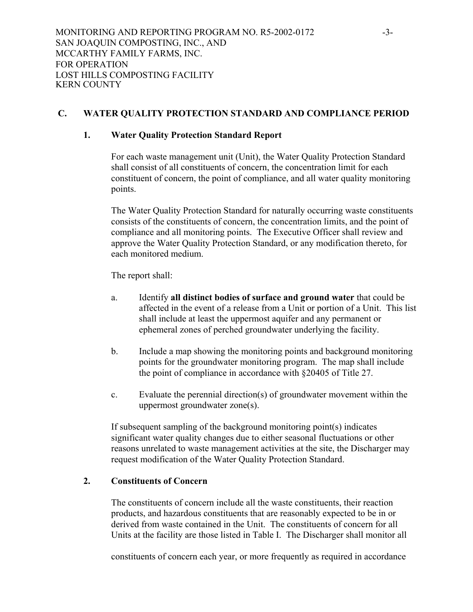# **C. WATER QUALITY PROTECTION STANDARD AND COMPLIANCE PERIOD**

# **1. Water Quality Protection Standard Report**

For each waste management unit (Unit), the Water Quality Protection Standard shall consist of all constituents of concern, the concentration limit for each constituent of concern, the point of compliance, and all water quality monitoring points.

The Water Quality Protection Standard for naturally occurring waste constituents consists of the constituents of concern, the concentration limits, and the point of compliance and all monitoring points. The Executive Officer shall review and approve the Water Quality Protection Standard, or any modification thereto, for each monitored medium.

The report shall:

- a. Identify **all distinct bodies of surface and ground water** that could be affected in the event of a release from a Unit or portion of a Unit. This list shall include at least the uppermost aquifer and any permanent or ephemeral zones of perched groundwater underlying the facility.
- b. Include a map showing the monitoring points and background monitoring points for the groundwater monitoring program. The map shall include the point of compliance in accordance with §20405 of Title 27.
- c. Evaluate the perennial direction(s) of groundwater movement within the uppermost groundwater zone(s).

If subsequent sampling of the background monitoring point(s) indicates significant water quality changes due to either seasonal fluctuations or other reasons unrelated to waste management activities at the site, the Discharger may request modification of the Water Quality Protection Standard.

# **2. Constituents of Concern**

The constituents of concern include all the waste constituents, their reaction products, and hazardous constituents that are reasonably expected to be in or derived from waste contained in the Unit. The constituents of concern for all Units at the facility are those listed in Table I. The Discharger shall monitor all

constituents of concern each year, or more frequently as required in accordance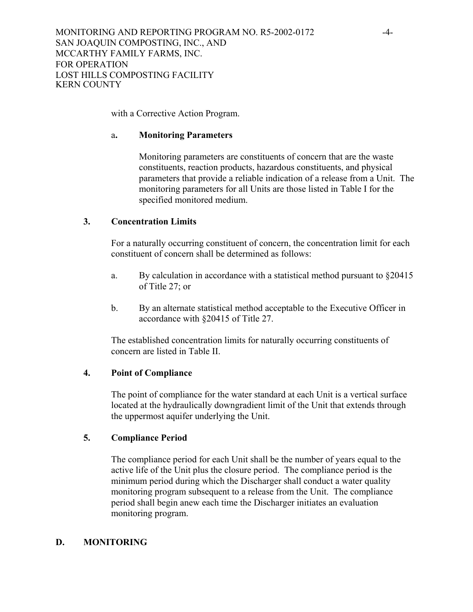with a Corrective Action Program.

#### a**. Monitoring Parameters**

Monitoring parameters are constituents of concern that are the waste constituents, reaction products, hazardous constituents, and physical parameters that provide a reliable indication of a release from a Unit. The monitoring parameters for all Units are those listed in Table I for the specified monitored medium.

#### **3. Concentration Limits**

For a naturally occurring constituent of concern, the concentration limit for each constituent of concern shall be determined as follows:

- a. By calculation in accordance with a statistical method pursuant to §20415 of Title 27; or
- b. By an alternate statistical method acceptable to the Executive Officer in accordance with §20415 of Title 27.

The established concentration limits for naturally occurring constituents of concern are listed in Table II.

#### **4. Point of Compliance**

The point of compliance for the water standard at each Unit is a vertical surface located at the hydraulically downgradient limit of the Unit that extends through the uppermost aquifer underlying the Unit.

### **5. Compliance Period**

The compliance period for each Unit shall be the number of years equal to the active life of the Unit plus the closure period. The compliance period is the minimum period during which the Discharger shall conduct a water quality monitoring program subsequent to a release from the Unit. The compliance period shall begin anew each time the Discharger initiates an evaluation monitoring program.

### **D. MONITORING**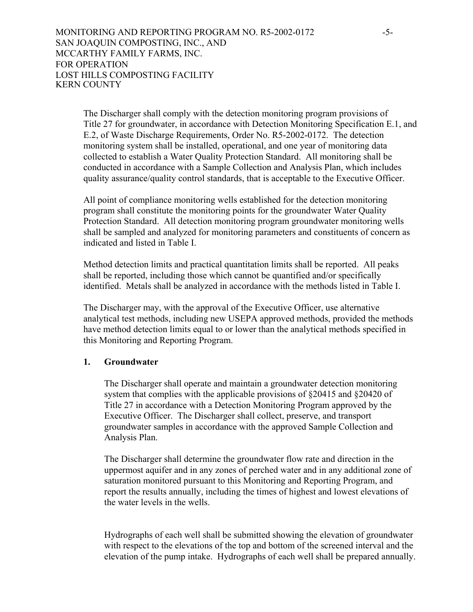The Discharger shall comply with the detection monitoring program provisions of Title 27 for groundwater, in accordance with Detection Monitoring Specification E.1, and E.2, of Waste Discharge Requirements, Order No. R5-2002-0172. The detection monitoring system shall be installed, operational, and one year of monitoring data collected to establish a Water Quality Protection Standard. All monitoring shall be conducted in accordance with a Sample Collection and Analysis Plan, which includes quality assurance/quality control standards, that is acceptable to the Executive Officer.

All point of compliance monitoring wells established for the detection monitoring program shall constitute the monitoring points for the groundwater Water Quality Protection Standard. All detection monitoring program groundwater monitoring wells shall be sampled and analyzed for monitoring parameters and constituents of concern as indicated and listed in Table I.

Method detection limits and practical quantitation limits shall be reported. All peaks shall be reported, including those which cannot be quantified and/or specifically identified. Metals shall be analyzed in accordance with the methods listed in Table I.

The Discharger may, with the approval of the Executive Officer, use alternative analytical test methods, including new USEPA approved methods, provided the methods have method detection limits equal to or lower than the analytical methods specified in this Monitoring and Reporting Program.

## **1. Groundwater**

The Discharger shall operate and maintain a groundwater detection monitoring system that complies with the applicable provisions of §20415 and §20420 of Title 27 in accordance with a Detection Monitoring Program approved by the Executive Officer. The Discharger shall collect, preserve, and transport groundwater samples in accordance with the approved Sample Collection and Analysis Plan.

The Discharger shall determine the groundwater flow rate and direction in the uppermost aquifer and in any zones of perched water and in any additional zone of saturation monitored pursuant to this Monitoring and Reporting Program, and report the results annually, including the times of highest and lowest elevations of the water levels in the wells.

Hydrographs of each well shall be submitted showing the elevation of groundwater with respect to the elevations of the top and bottom of the screened interval and the elevation of the pump intake. Hydrographs of each well shall be prepared annually.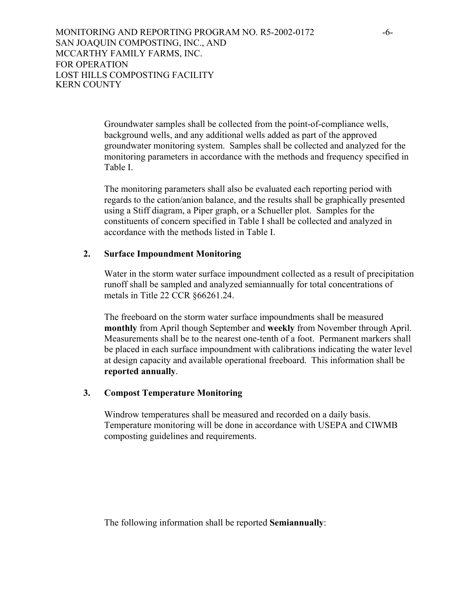MONITORING AND REPORTING PROGRAM NO. R5-2002-0172 -6- SAN JOAQUIN COMPOSTING, INC., AND MCCARTHY FAMILY FARMS, INC. FOR OPERATION LOST HILLS COMPOSTING FACILITY KERN COUNTY

> Groundwater samples shall be collected from the point-of-compliance wells, background wells, and any additional wells added as part of the approved groundwater monitoring system. Samples shall be collected and analyzed for the monitoring parameters in accordance with the methods and frequency specified in Table I.

The monitoring parameters shall also be evaluated each reporting period with regards to the cation/anion balance, and the results shall be graphically presented using a Stiff diagram, a Piper graph, or a Schueller plot. Samples for the constituents of concern specified in Table I shall be collected and analyzed in accordance with the methods listed in Table I.

# **2. Surface Impoundment Monitoring**

Water in the storm water surface impoundment collected as a result of precipitation runoff shall be sampled and analyzed semiannually for total concentrations of metals in Title 22 CCR §66261.24.

The freeboard on the storm water surface impoundments shall be measured **monthly** from April though September and **weekly** from November through April. Measurements shall be to the nearest one-tenth of a foot. Permanent markers shall be placed in each surface impoundment with calibrations indicating the water level at design capacity and available operational freeboard. This information shall be **reported annually**.

### **3. Compost Temperature Monitoring**

Windrow temperatures shall be measured and recorded on a daily basis. Temperature monitoring will be done in accordance with USEPA and CIWMB composting guidelines and requirements.

The following information shall be reported **Semiannually**: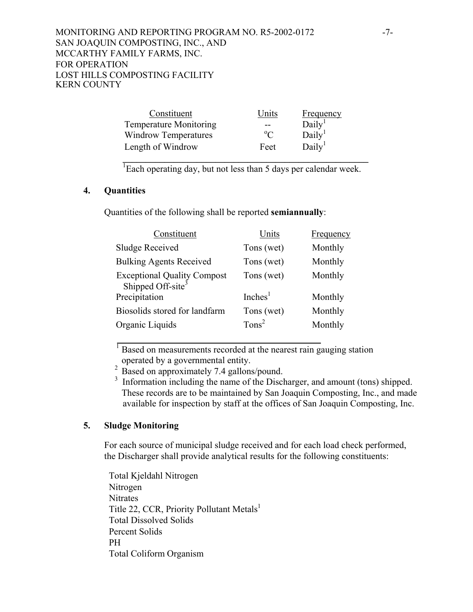MONITORING AND REPORTING PROGRAM NO. R5-2002-0172 -7-SAN JOAQUIN COMPOSTING, INC., AND MCCARTHY FAMILY FARMS, INC. FOR OPERATION LOST HILLS COMPOSTING FACILITY KERN COUNTY

| Constituent                   | Jnits       | <b>Frequency</b>   |
|-------------------------------|-------------|--------------------|
| <b>Temperature Monitoring</b> | --          | Daily <sup>1</sup> |
| <b>Windrow Temperatures</b>   | $\rm ^{o}C$ | Daily <sup>1</sup> |
| Length of Windrow             | Feet        | Daily <sup>1</sup> |
|                               |             |                    |

<sup>1</sup> Each operating day, but not less than 5 days per calendar week.

#### **4. Quantities**

Quantities of the following shall be reported **semiannually**:

| Constituent                                                  | Units                | Frequency |
|--------------------------------------------------------------|----------------------|-----------|
| <b>Sludge Received</b>                                       | Tons (wet)           | Monthly   |
| <b>Bulking Agents Received</b>                               | Tons (wet)           | Monthly   |
| Exceptional Quality Compost<br>Shipped Off-site <sup>3</sup> | Tons (wet)           | Monthly   |
| Precipitation                                                | Inches <sup>1</sup>  | Monthly   |
| Biosolids stored for landfarm                                | Tons (wet)           | Monthly   |
| Organic Liquids                                              | $T$ ons <sup>2</sup> | Monthly   |
|                                                              |                      |           |

 $<sup>1</sup>$  Based on measurements recorded at the nearest rain gauging station</sup> operated by a governmental entity.

<sup>2</sup> Based on approximately 7.4 gallons/pound.

<sup>3</sup> Information including the name of the Discharger, and amount (tons) shipped. These records are to be maintained by San Joaquin Composting, Inc., and made available for inspection by staff at the offices of San Joaquin Composting, Inc.

# **5. Sludge Monitoring**

For each source of municipal sludge received and for each load check performed, the Discharger shall provide analytical results for the following constituents:

Total Kjeldahl Nitrogen Nitrogen **Nitrates** Title 22, CCR, Priority Pollutant Metals<sup>1</sup> Total Dissolved Solids Percent Solids PH Total Coliform Organism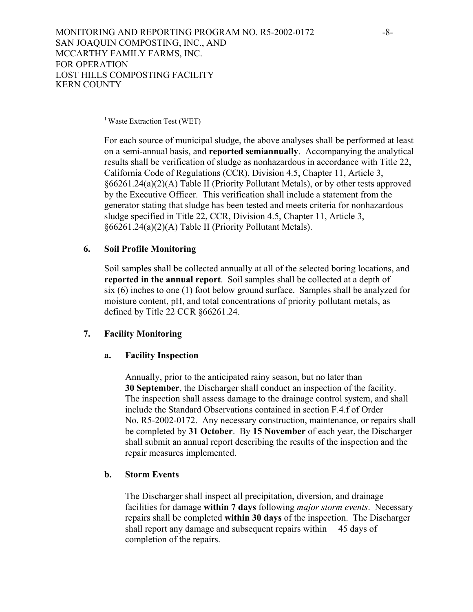$\frac{1}{1}$  Waste Extraction Test (WET)

For each source of municipal sludge, the above analyses shall be performed at least on a semi-annual basis, and **reported semiannually**. Accompanying the analytical results shall be verification of sludge as nonhazardous in accordance with Title 22, California Code of Regulations (CCR), Division 4.5, Chapter 11, Article 3, §66261.24(a)(2)(A) Table II (Priority Pollutant Metals), or by other tests approved by the Executive Officer. This verification shall include a statement from the generator stating that sludge has been tested and meets criteria for nonhazardous sludge specified in Title 22, CCR, Division 4.5, Chapter 11, Article 3, §66261.24(a)(2)(A) Table II (Priority Pollutant Metals).

### **6. Soil Profile Monitoring**

Soil samples shall be collected annually at all of the selected boring locations, and **reported in the annual report**. Soil samples shall be collected at a depth of six (6) inches to one (1) foot below ground surface. Samples shall be analyzed for moisture content, pH, and total concentrations of priority pollutant metals, as defined by Title 22 CCR §66261.24.

### **7. Facility Monitoring**

### **a. Facility Inspection**

Annually, prior to the anticipated rainy season, but no later than **30 September**, the Discharger shall conduct an inspection of the facility. The inspection shall assess damage to the drainage control system, and shall include the Standard Observations contained in section F.4.f of Order No. R5-2002-0172. Any necessary construction, maintenance, or repairs shall be completed by **31 October**. By **15 November** of each year, the Discharger shall submit an annual report describing the results of the inspection and the repair measures implemented.

### **b. Storm Events**

The Discharger shall inspect all precipitation, diversion, and drainage facilities for damage **within 7 days** following *major storm events*. Necessary repairs shall be completed **within 30 days** of the inspection. The Discharger shall report any damage and subsequent repairs within 45 days of completion of the repairs.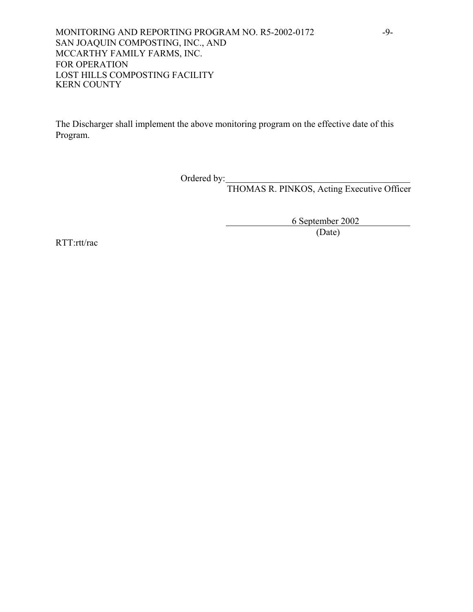MONITORING AND REPORTING PROGRAM NO. R5-2002-0172 -9-SAN JOAQUIN COMPOSTING, INC., AND MCCARTHY FAMILY FARMS, INC. FOR OPERATION LOST HILLS COMPOSTING FACILITY KERN COUNTY

The Discharger shall implement the above monitoring program on the effective date of this Program.

Ordered by:

THOMAS R. PINKOS, Acting Executive Officer

 6 September 2002 (Date)

RTT:rtt/rac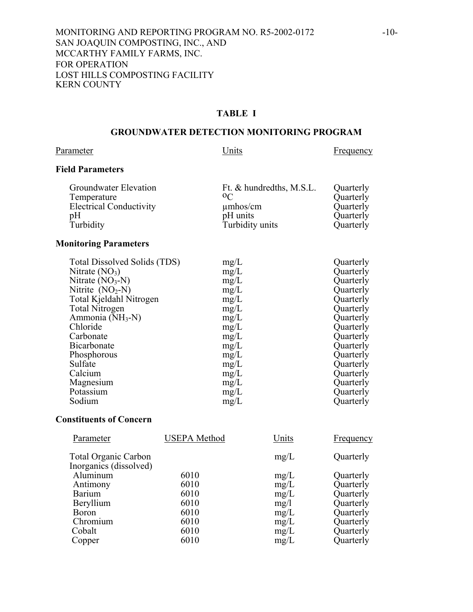### **TABLE I**

#### **GROUNDWATER DETECTION MONITORING PROGRAM**

# Parameter Units Erequency

## **Field Parameters**

| Groundwater Elevation                         | Ft. & hundredths, M.S.L.<br>0 <sup>C</sup> | Quarterly              |
|-----------------------------------------------|--------------------------------------------|------------------------|
| Temperature<br><b>Electrical Conductivity</b> | $\mu$ mhos/cm                              | Quarterly<br>Quarterly |
| pΗ                                            | pH units                                   | Quarterly              |
| Turbidity                                     | Turbidity units                            | Quarterly              |

# **Monitoring Parameters**

| Total Dissolved Solids (TDS)<br>Nitrate $(NO3)$<br>Nitrate $(NO3-N)$<br>Nitrite $(NO2-N)$<br>Total Kjeldahl Nitrogen<br><b>Total Nitrogen</b><br>Ammonia $(NH_3-N)$<br>Chloride<br>Carbonate<br>Bicarbonate<br>Phosphorous<br>Sulfate<br>Calcium<br>Magnesium | mg/L<br>mg/L<br>mg/L<br>mg/L<br>mg/L<br>mg/L<br>mg/L<br>mg/L<br>mg/L<br>mg/L<br>mg/L<br>mg/L<br>mg/L | Quarterly<br>Quarterly<br>Quarterly<br>Quarterly<br>Quarterly<br>Quarterly<br>Quarterly<br>Quarterly<br>Quarterly<br>Quarterly<br>Quarterly<br>Quarterly<br>Quarterly<br>Quarterly |
|---------------------------------------------------------------------------------------------------------------------------------------------------------------------------------------------------------------------------------------------------------------|------------------------------------------------------------------------------------------------------|------------------------------------------------------------------------------------------------------------------------------------------------------------------------------------|
| Potassium                                                                                                                                                                                                                                                     | mg/L                                                                                                 | Quarterly                                                                                                                                                                          |
| Sodium                                                                                                                                                                                                                                                        | mg/L<br>mg/L                                                                                         | Quarterly                                                                                                                                                                          |

#### **Constituents of Concern**

| Parameter                                             | <b>USEPA</b> Method | Units | Frequency |
|-------------------------------------------------------|---------------------|-------|-----------|
| <b>Total Organic Carbon</b><br>Inorganics (dissolved) |                     | mg/L  | Quarterly |
| Aluminum                                              | 6010                | mg/L  | Quarterly |
| Antimony                                              | 6010                | mg/L  | Quarterly |
| <b>Barium</b>                                         | 6010                | mg/L  | Quarterly |
| Beryllium                                             | 6010                | mg/1  | Quarterly |
| <b>Boron</b>                                          | 6010                | mg/L  | Quarterly |
| Chromium                                              | 6010                | mg/L  | Quarterly |
| Cobalt                                                | 6010                | mg/L  | Quarterly |
| Copper                                                | 6010                | mg/L  | Quarterly |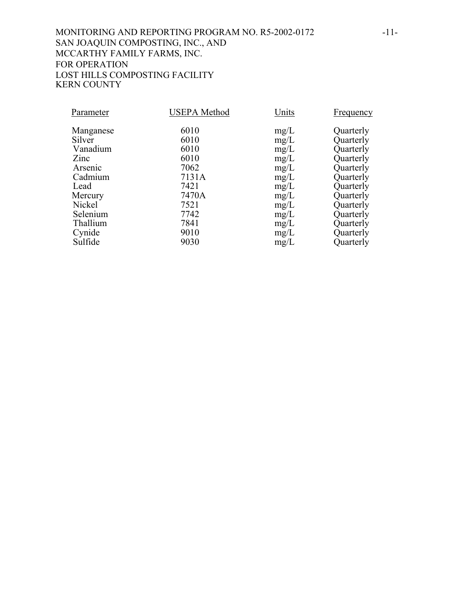# MONITORING AND REPORTING PROGRAM NO. R5-2002-0172 -11-SAN JOAQUIN COMPOSTING, INC., AND MCCARTHY FAMILY FARMS, INC. FOR OPERATION LOST HILLS COMPOSTING FACILITY KERN COUNTY

| Parameter | <b>USEPA</b> Method | Units | <b>Frequency</b> |
|-----------|---------------------|-------|------------------|
| Manganese | 6010                | mg/L  | Quarterly        |
| Silver    | 6010                | mg/L  | Quarterly        |
| Vanadium  | 6010                | mg/L  | Quarterly        |
| Zinc      | 6010                | mg/L  | Quarterly        |
| Arsenic   | 7062                | mg/L  | Quarterly        |
| Cadmium   | 7131A               | mg/L  | Quarterly        |
| Lead      | 7421                | mg/L  | Quarterly        |
| Mercury   | 7470A               | mg/L  | Quarterly        |
| Nickel    | 7521                | mg/L  | Quarterly        |
| Selenium  | 7742                | mg/L  | Quarterly        |
| Thallium  | 7841                | mg/L  | Quarterly        |
| Cynide    | 9010                | mg/L  | Quarterly        |
| Sulfide   | 9030                | mg/L  | Quarterly        |
|           |                     |       |                  |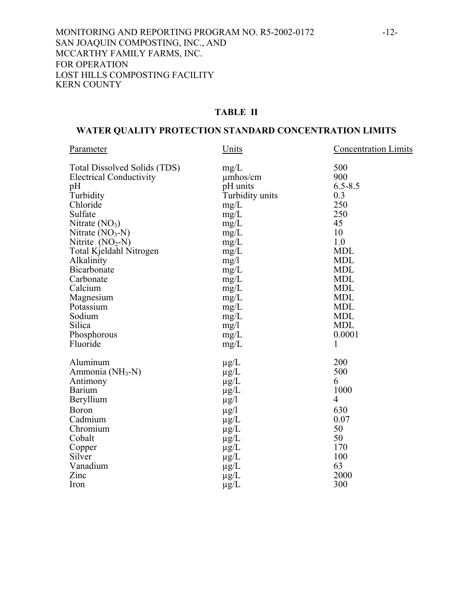## **TABLE II**

# **WATER QUALITY PROTECTION STANDARD CONCENTRATION LIMITS**

| Parameter                      | Units           | <b>Concentration Limits</b> |
|--------------------------------|-----------------|-----------------------------|
| Total Dissolved Solids (TDS)   | mg/L            | 500                         |
| <b>Electrical Conductivity</b> | umhos/cm        | 900                         |
| pH                             | pH units        | $6.5 - 8.5$                 |
| Turbidity                      | Turbidity units | 0.3                         |
| Chloride                       | mg/L            | 250                         |
| Sulfate                        | mg/L            | 250                         |
| Nitrate $(NO3)$                | mg/L            | 45                          |
| Nitrate $(NO3-N)$              | mg/L            | 10                          |
| Nitrite $(NO2-N)$              | mg/L            | 1.0                         |
| Total Kjeldahl Nitrogen        | mg/L            | <b>MDL</b>                  |
| Alkalinity                     | mg/1            | <b>MDL</b>                  |
| Bicarbonate                    | mg/L            | <b>MDL</b>                  |
| Carbonate                      | mg/L            | <b>MDL</b>                  |
| Calcium                        | mg/L            | <b>MDL</b>                  |
| Magnesium                      | mg/L            | <b>MDL</b>                  |
| Potassium                      | mg/L            | <b>MDL</b>                  |
| Sodium                         | mg/L            | <b>MDL</b>                  |
| Silica                         | mg/l            | <b>MDL</b>                  |
| Phosphorous                    | mg/L            | 0.0001                      |
| Fluoride                       | mg/L            | 1                           |
| Aluminum                       | $\mu$ g/L       | 200                         |
| Ammonia (NH <sub>3</sub> -N)   | $\mu$ g/L       | 500                         |
| Antimony                       | $\mu$ g/L       | 6                           |
| <b>Barium</b>                  | $\mu$ g/L       | 1000                        |
| Beryllium                      | $\mu$ g/l       | $\overline{4}$              |
| <b>Boron</b>                   | $\mu$ g/l       | 630                         |
| Cadmium                        | $\mu g/L$       | 0.07                        |
| Chromium                       | $\mu g/L$       | 50                          |
| Cobalt                         | $\mu g/L$       | 50                          |
| Copper                         | $\mu$ g/L       | 170                         |
| Silver                         | $\mu$ g/L       | 100                         |
| Vanadium                       | $\mu$ g/L       | 63                          |
| Zinc                           | $\mu$ g/L       | 2000                        |
| Iron                           | $\mu$ g/L       | 300                         |
|                                |                 |                             |